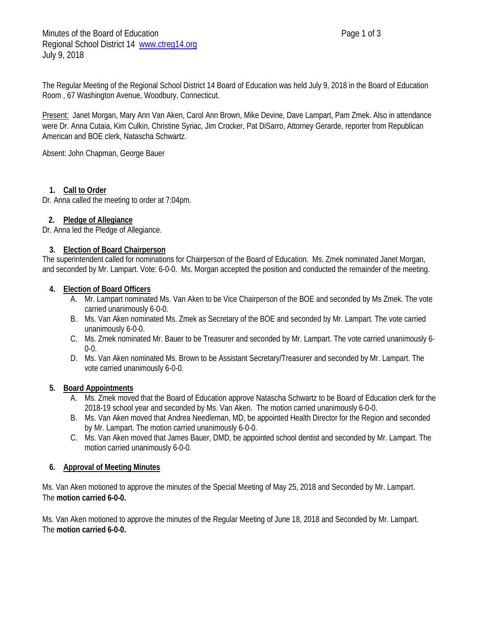The Regular Meeting of the Regional School District 14 Board of Education was held July 9, 2018 in the Board of Education Room , 67 Washington Avenue, Woodbury, Connecticut.

Present: Janet Morgan, Mary Ann Van Aken, Carol Ann Brown, Mike Devine, Dave Lampart, Pam Zmek. Also in attendance were Dr. Anna Cutaia, Kim Culkin, Christine Syriac, Jim Crocker, Pat DiSarro, Attorney Gerarde, reporter from Republican American and BOE clerk, Natascha Schwartz.

Absent: John Chapman, George Bauer

## **1. Call to Order**

Dr. Anna called the meeting to order at 7:04pm.

## **2. Pledge of Allegiance**

Dr. Anna led the Pledge of Allegiance.

### **3. Election of Board Chairperson**

The superintendent called for nominations for Chairperson of the Board of Education. Ms. Zmek nominated Janet Morgan, and seconded by Mr. Lampart. Vote: 6-0-0. Ms. Morgan accepted the position and conducted the remainder of the meeting.

### **4. Election of Board Officers**

- A. Mr. Lampart nominated Ms. Van Aken to be Vice Chairperson of the BOE and seconded by Ms Zmek. The vote carried unanimously 6-0-0.
- B. Ms. Van Aken nominated Ms. Zmek as Secretary of the BOE and seconded by Mr. Lampart. The vote carried unanimously 6-0-0.
- C. Ms. Zmek nominated Mr. Bauer to be Treasurer and seconded by Mr. Lampart. The vote carried unanimously 6- 0-0.
- D. Ms. Van Aken nominated Ms. Brown to be Assistant Secretary/Treasurer and seconded by Mr. Lampart. The vote carried unanimously 6-0-0.

### **5. Board Appointments**

- A. Ms. Zmek moved that the Board of Education approve Natascha Schwartz to be Board of Education clerk for the 2018-19 school year and seconded by Ms. Van Aken. The motion carried unanimously 6-0-0.
- B. Ms. Van Aken moved that Andrea Needleman, MD, be appointed Health Director for the Region and seconded by Mr. Lampart. The motion carried unanimously 6-0-0.
- C. Ms. Van Aken moved that James Bauer, DMD, be appointed school dentist and seconded by Mr. Lampart. The motion carried unanimously 6-0-0.

### **6. Approval of Meeting Minutes**

Ms. Van Aken motioned to approve the minutes of the Special Meeting of May 25, 2018 and Seconded by Mr. Lampart. The **motion carried 6-0-0.**

Ms. Van Aken motioned to approve the minutes of the Regular Meeting of June 18, 2018 and Seconded by Mr. Lampart. The **motion carried 6-0-0.**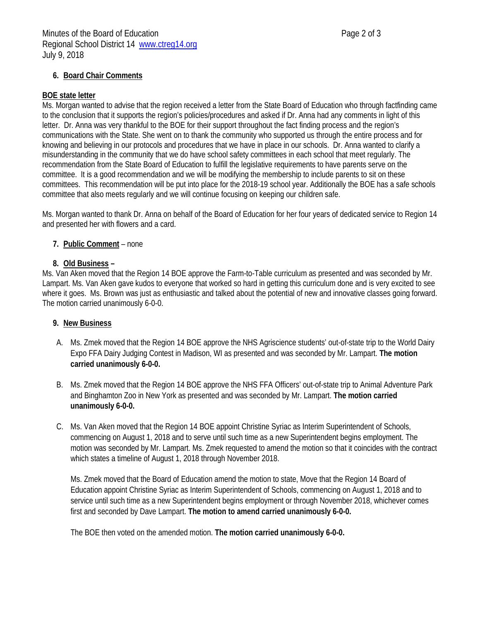# **6. Board Chair Comments**

## **BOE state letter**

Ms. Morgan wanted to advise that the region received a letter from the State Board of Education who through factfinding came to the conclusion that it supports the region's policies/procedures and asked if Dr. Anna had any comments in light of this letter. Dr. Anna was very thankful to the BOE for their support throughout the fact finding process and the region's communications with the State. She went on to thank the community who supported us through the entire process and for knowing and believing in our protocols and procedures that we have in place in our schools. Dr. Anna wanted to clarify a misunderstanding in the community that we do have school safety committees in each school that meet regularly. The recommendation from the State Board of Education to fulfill the legislative requirements to have parents serve on the committee. It is a good recommendation and we will be modifying the membership to include parents to sit on these committees. This recommendation will be put into place for the 2018-19 school year. Additionally the BOE has a safe schools committee that also meets regularly and we will continue focusing on keeping our children safe.

Ms. Morgan wanted to thank Dr. Anna on behalf of the Board of Education for her four years of dedicated service to Region 14 and presented her with flowers and a card.

# **7. Public Comment** – none

## **8. Old Business –**

Ms. Van Aken moved that the Region 14 BOE approve the Farm-to-Table curriculum as presented and was seconded by Mr. Lampart. Ms. Van Aken gave kudos to everyone that worked so hard in getting this curriculum done and is very excited to see where it goes. Ms. Brown was just as enthusiastic and talked about the potential of new and innovative classes going forward. The motion carried unanimously 6-0-0.

# **9. New Business**

- A. Ms. Zmek moved that the Region 14 BOE approve the NHS Agriscience students' out-of-state trip to the World Dairy Expo FFA Dairy Judging Contest in Madison, WI as presented and was seconded by Mr. Lampart. **The motion carried unanimously 6-0-0.**
- B. Ms. Zmek moved that the Region 14 BOE approve the NHS FFA Officers' out-of-state trip to Animal Adventure Park and Binghamton Zoo in New York as presented and was seconded by Mr. Lampart. **The motion carried unanimously 6-0-0.**
- C. Ms. Van Aken moved that the Region 14 BOE appoint Christine Syriac as Interim Superintendent of Schools, commencing on August 1, 2018 and to serve until such time as a new Superintendent begins employment. The motion was seconded by Mr. Lampart. Ms. Zmek requested to amend the motion so that it coincides with the contract which states a timeline of August 1, 2018 through November 2018.

Ms. Zmek moved that the Board of Education amend the motion to state, Move that the Region 14 Board of Education appoint Christine Syriac as Interim Superintendent of Schools, commencing on August 1, 2018 and to service until such time as a new Superintendent begins employment or through November 2018, whichever comes first and seconded by Dave Lampart. **The motion to amend carried unanimously 6-0-0.**

The BOE then voted on the amended motion. **The motion carried unanimously 6-0-0.**